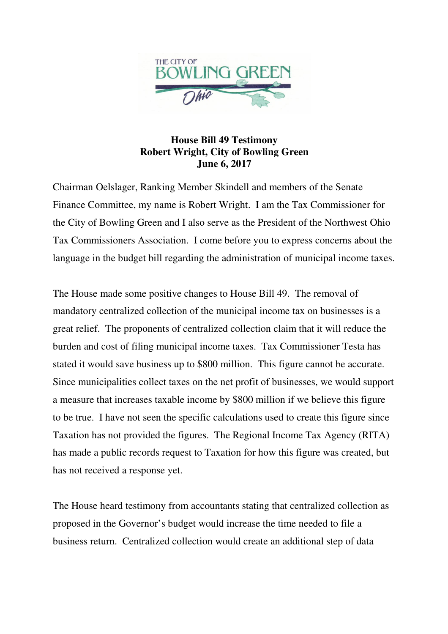

## **House Bill 49 Testimony Robert Wright, City of Bowling Green June 6, 2017**

Chairman Oelslager, Ranking Member Skindell and members of the Senate Finance Committee, my name is Robert Wright. I am the Tax Commissioner for the City of Bowling Green and I also serve as the President of the Northwest Ohio Tax Commissioners Association. I come before you to express concerns about the language in the budget bill regarding the administration of municipal income taxes.

The House made some positive changes to House Bill 49. The removal of mandatory centralized collection of the municipal income tax on businesses is a great relief. The proponents of centralized collection claim that it will reduce the burden and cost of filing municipal income taxes. Tax Commissioner Testa has stated it would save business up to \$800 million. This figure cannot be accurate. Since municipalities collect taxes on the net profit of businesses, we would support a measure that increases taxable income by \$800 million if we believe this figure to be true. I have not seen the specific calculations used to create this figure since Taxation has not provided the figures. The Regional Income Tax Agency (RITA) has made a public records request to Taxation for how this figure was created, but has not received a response yet.

The House heard testimony from accountants stating that centralized collection as proposed in the Governor's budget would increase the time needed to file a business return. Centralized collection would create an additional step of data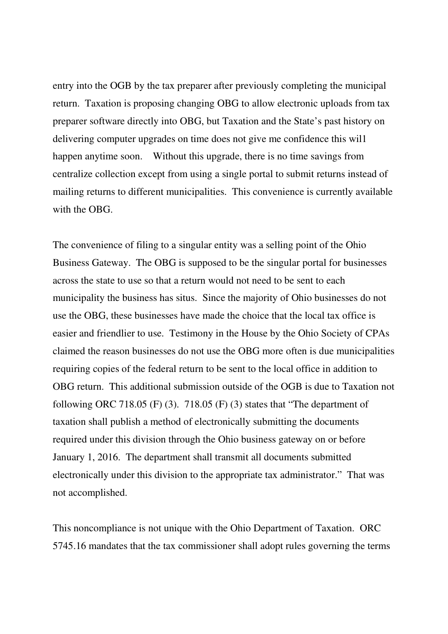entry into the OGB by the tax preparer after previously completing the municipal return. Taxation is proposing changing OBG to allow electronic uploads from tax preparer software directly into OBG, but Taxation and the State's past history on delivering computer upgrades on time does not give me confidence this wil1 happen anytime soon. Without this upgrade, there is no time savings from centralize collection except from using a single portal to submit returns instead of mailing returns to different municipalities. This convenience is currently available with the OBG.

The convenience of filing to a singular entity was a selling point of the Ohio Business Gateway. The OBG is supposed to be the singular portal for businesses across the state to use so that a return would not need to be sent to each municipality the business has situs. Since the majority of Ohio businesses do not use the OBG, these businesses have made the choice that the local tax office is easier and friendlier to use. Testimony in the House by the Ohio Society of CPAs claimed the reason businesses do not use the OBG more often is due municipalities requiring copies of the federal return to be sent to the local office in addition to OBG return. This additional submission outside of the OGB is due to Taxation not following ORC 718.05 (F) (3). 718.05 (F) (3) states that "The department of taxation shall publish a method of electronically submitting the documents required under this division through the Ohio business gateway on or before January 1, 2016. The department shall transmit all documents submitted electronically under this division to the appropriate tax administrator." That was not accomplished.

This noncompliance is not unique with the Ohio Department of Taxation. ORC 5745.16 mandates that the tax commissioner shall adopt rules governing the terms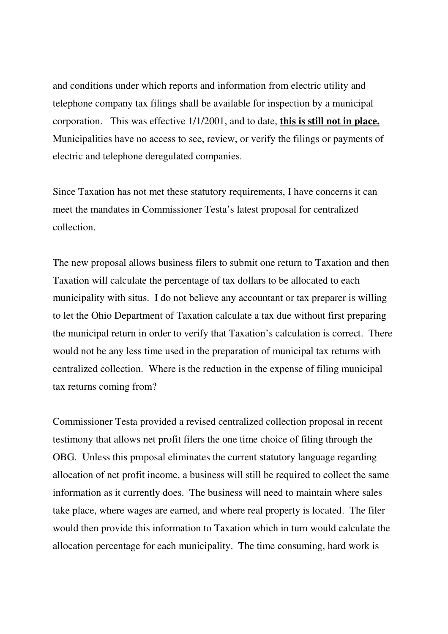and conditions under which reports and information from electric utility and telephone company tax filings shall be available for inspection by a municipal corporation. This was effective 1/1/2001, and to date, **this is still not in place.** Municipalities have no access to see, review, or verify the filings or payments of electric and telephone deregulated companies.

Since Taxation has not met these statutory requirements, I have concerns it can meet the mandates in Commissioner Testa's latest proposal for centralized collection.

The new proposal allows business filers to submit one return to Taxation and then Taxation will calculate the percentage of tax dollars to be allocated to each municipality with situs. I do not believe any accountant or tax preparer is willing to let the Ohio Department of Taxation calculate a tax due without first preparing the municipal return in order to verify that Taxation's calculation is correct. There would not be any less time used in the preparation of municipal tax returns with centralized collection. Where is the reduction in the expense of filing municipal tax returns coming from?

Commissioner Testa provided a revised centralized collection proposal in recent testimony that allows net profit filers the one time choice of filing through the OBG. Unless this proposal eliminates the current statutory language regarding allocation of net profit income, a business will still be required to collect the same information as it currently does. The business will need to maintain where sales take place, where wages are earned, and where real property is located. The filer would then provide this information to Taxation which in turn would calculate the allocation percentage for each municipality. The time consuming, hard work is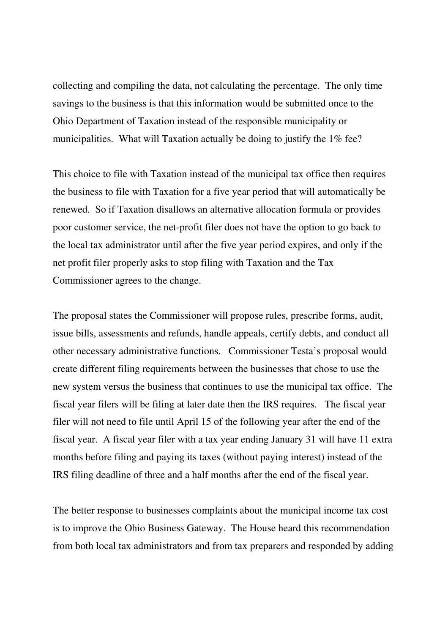collecting and compiling the data, not calculating the percentage. The only time savings to the business is that this information would be submitted once to the Ohio Department of Taxation instead of the responsible municipality or municipalities. What will Taxation actually be doing to justify the 1% fee?

This choice to file with Taxation instead of the municipal tax office then requires the business to file with Taxation for a five year period that will automatically be renewed. So if Taxation disallows an alternative allocation formula or provides poor customer service, the net-profit filer does not have the option to go back to the local tax administrator until after the five year period expires, and only if the net profit filer properly asks to stop filing with Taxation and the Tax Commissioner agrees to the change.

The proposal states the Commissioner will propose rules, prescribe forms, audit, issue bills, assessments and refunds, handle appeals, certify debts, and conduct all other necessary administrative functions. Commissioner Testa's proposal would create different filing requirements between the businesses that chose to use the new system versus the business that continues to use the municipal tax office. The fiscal year filers will be filing at later date then the IRS requires. The fiscal year filer will not need to file until April 15 of the following year after the end of the fiscal year. A fiscal year filer with a tax year ending January 31 will have 11 extra months before filing and paying its taxes (without paying interest) instead of the IRS filing deadline of three and a half months after the end of the fiscal year.

The better response to businesses complaints about the municipal income tax cost is to improve the Ohio Business Gateway. The House heard this recommendation from both local tax administrators and from tax preparers and responded by adding